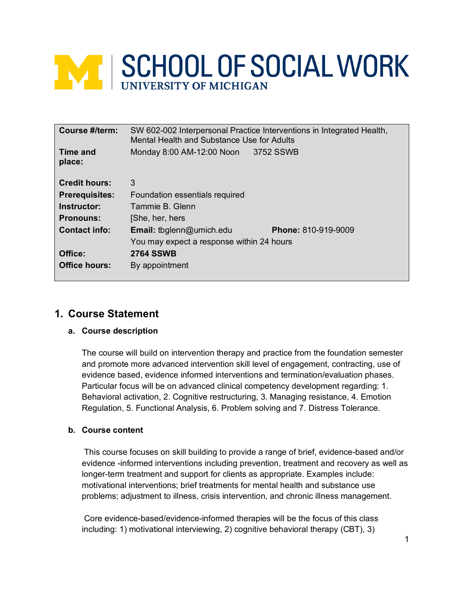# **WE SCHOOL OF SOCIAL WORK**

| Course #/term:            | SW 602-002 Interpersonal Practice Interventions in Integrated Health,<br>Mental Health and Substance Use for Adults |                     |
|---------------------------|---------------------------------------------------------------------------------------------------------------------|---------------------|
| <b>Time and</b><br>place: | Monday 8:00 AM-12:00 Noon                                                                                           | 3752 SSWB           |
| <b>Credit hours:</b>      | 3                                                                                                                   |                     |
| <b>Prerequisites:</b>     | Foundation essentials required                                                                                      |                     |
| Instructor:               | Tammie B. Glenn                                                                                                     |                     |
| <b>Pronouns:</b>          | [She, her, hers]                                                                                                    |                     |
| <b>Contact info:</b>      | <b>Email:</b> tbglenn@umich.edu                                                                                     | Phone: 810-919-9009 |
|                           | You may expect a response within 24 hours                                                                           |                     |
| Office:                   | <b>2764 SSWB</b>                                                                                                    |                     |
| <b>Office hours:</b>      | By appointment                                                                                                      |                     |

# **1. Course Statement**

#### **a. Course description**

The course will build on intervention therapy and practice from the foundation semester and promote more advanced intervention skill level of engagement, contracting, use of evidence based, evidence informed interventions and termination/evaluation phases. Particular focus will be on advanced clinical competency development regarding: 1. Behavioral activation, 2. Cognitive restructuring, 3. Managing resistance, 4. Emotion Regulation, 5. Functional Analysis, 6. Problem solving and 7. Distress Tolerance.

#### **b. Course content**

This course focuses on skill building to provide a range of brief, evidence-based and/or evidence -informed interventions including prevention, treatment and recovery as well as longer-term treatment and support for clients as appropriate. Examples include: motivational interventions; brief treatments for mental health and substance use problems; adjustment to illness, crisis intervention, and chronic illness management.

Core evidence-based/evidence-informed therapies will be the focus of this class including: 1) motivational interviewing, 2) cognitive behavioral therapy (CBT), 3)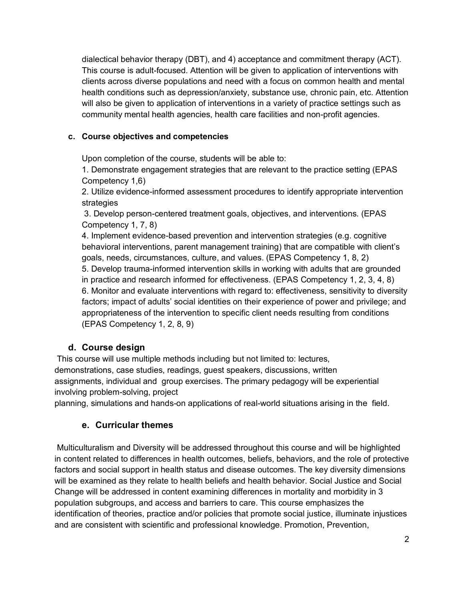dialectical behavior therapy (DBT), and 4) acceptance and commitment therapy (ACT). This course is adult-focused. Attention will be given to application of interventions with clients across diverse populations and need with a focus on common health and mental health conditions such as depression/anxiety, substance use, chronic pain, etc. Attention will also be given to application of interventions in a variety of practice settings such as community mental health agencies, health care facilities and non-profit agencies.

### **c. Course objectives and competencies**

Upon completion of the course, students will be able to:

1. Demonstrate engagement strategies that are relevant to the practice setting (EPAS Competency 1,6)

2. Utilize evidence-informed assessment procedures to identify appropriate intervention strategies

3. Develop person-centered treatment goals, objectives, and interventions. (EPAS Competency 1, 7, 8)

4. Implement evidence-based prevention and intervention strategies (e.g. cognitive behavioral interventions, parent management training) that are compatible with client's goals, needs, circumstances, culture, and values. (EPAS Competency 1, 8, 2) 5. Develop trauma-informed intervention skills in working with adults that are grounded in practice and research informed for effectiveness. (EPAS Competency 1, 2, 3, 4, 8) 6. Monitor and evaluate interventions with regard to: effectiveness, sensitivity to diversity factors; impact of adults' social identities on their experience of power and privilege; and appropriateness of the intervention to specific client needs resulting from conditions (EPAS Competency 1, 2, 8, 9)

## **d. Course design**

This course will use multiple methods including but not limited to: lectures,<br>demonstrations, case studies, readings, guest speakers, discussions, written<br>assignments, individual and group exercises. The primary pedagogy w

planning, simulations and hands-on applications of real-world situations arising in the field.

## **e. Curricular themes**

Multiculturalism and Diversity will be addressed throughout this course and will be highlighted in content related to differences in health outcomes, beliefs, behaviors, and the role of protective factors and social support in health status and disease outcomes. The key diversity dimensions will be examined as they relate to health beliefs and health behavior. Social Justice and Social Change will be addressed in content examining differences in mortality and morbidity in 3 population subgroups, and access and barriers to care. This course emphasizes the identification of theories, practice and/or policies that promote social justice, illuminate injustices and are consistent with scientific and professional knowledge. Promotion, Prevention,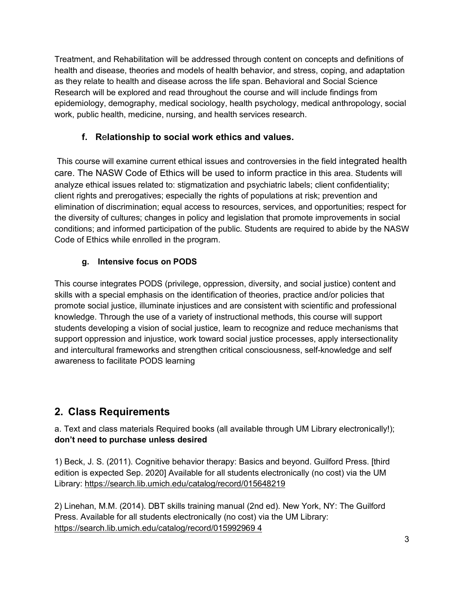Treatment, and Rehabilitation will be addressed through content on concepts and definitions of health and disease, theories and models of health behavior, and stress, coping, and adaptation as they relate to health and disease across the life span. Behavioral and Social Science Research will be explored and read throughout the course and will include findings from epidemiology, demography, medical sociology, health psychology, medical anthropology, social work, public health, medicine, nursing, and health services research.

## **f. R**e**lationship to social work ethics and values.**

This course will examine current ethical issues and controversies in the field integrated health care. The NASW Code of Ethics will be used to inform practice in this area. Students will analyze ethical issues related to: stigmatization and psychiatric labels; client confidentiality; client rights and prerogatives; especially the rights of populations at risk; prevention and elimination of discrimination; equal access to resources, services, and opportunities; respect for the diversity of cultures; changes in policy and legislation that promote improvements in social conditions; and informed participation of the public. Students are required to abide by the NASW Code of Ethics while enrolled in the program.

## **g. Intensive focus on PODS**

This course integrates PODS (privilege, oppression, diversity, and social justice) content and skills with a special emphasis on the identification of theories, practice and/or policies that promote social justice, illuminate injustices and are consistent with scientific and professional knowledge. Through the use of a variety of instructional methods, this course will support students developing a vision of social justice, learn to recognize and reduce mechanisms that support oppression and injustice, work toward social justice processes, apply intersectionality and intercultural frameworks and strengthen critical consciousness, self-knowledge and self awareness to facilitate PODS learning

# **2. Class Requirements**

a. Text and class materials Required books (all available through UM Library electronically!); **don't need to purchase unless desired**

1) Beck, J. S. (2011). Cognitive behavior therapy: Basics and beyond. Guilford Press. [third edition is expected Sep. 2020] Available for all students electronically (no cost) via the UM Library:<https://search.lib.umich.edu/catalog/record/015648219>

2) Linehan, M.M. (2014). DBT skills training manual (2nd ed). New York, NY: The Guilford Press. Available for all students electronically (no cost) via the UM Library: [https://search.lib.umich.edu/catalog/record/015992969 4](https://search.lib.umich.edu/catalog/record/015992969%204)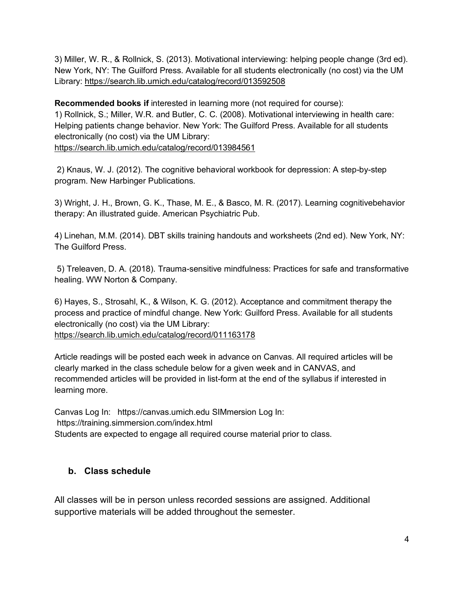3) Miller, W. R., & Rollnick, S. (2013). Motivational interviewing: helping people change (3rd ed). New York, NY: The Guilford Press. Available for all students electronically (no cost) via the UM Library:<https://search.lib.umich.edu/catalog/record/013592508>

**Recommended books if** interested in learning more (not required for course): 1) Rollnick, S.; Miller, W.R. and Butler, C. C. (2008). Motivational interviewing in health care: Helping patients change behavior. New York: The Guilford Press. Available for all students electronically (no cost) via the UM Library: <https://search.lib.umich.edu/catalog/record/013984561>

2) Knaus, W. J. (2012). The cognitive behavioral workbook for depression: A step-by-step program. New Harbinger Publications.

3) Wright, J. H., Brown, G. K., Thase, M. E., & Basco, M. R. (2017). Learning cognitivebehavior therapy: An illustrated guide. American Psychiatric Pub.

4) Linehan, M.M. (2014). DBT skills training handouts and worksheets (2nd ed). New York, NY: The Guilford Press.

5) Treleaven, D. A. (2018). Trauma-sensitive mindfulness: Practices for safe and transformative healing. WW Norton & Company.

6) Hayes, S., Strosahl, K., & Wilson, K. G. (2012). Acceptance and commitment therapy the process and practice of mindful change. New York: Guilford Press. Available for all students electronically (no cost) via the UM Library: <https://search.lib.umich.edu/catalog/record/011163178>

Article readings will be posted each week in advance on Canvas. All required articles will be clearly marked in the class schedule below for a given week and in CANVAS, and recommended articles will be provided in list-form at the end of the syllabus if interested in learning more.

Canvas Log In: https://canvas.umich.edu SIMmersion Log In: https://training.simmersion.com/index.html Students are expected to engage all required course material prior to class.

## **b. Class schedule**

All classes will be in person unless recorded sessions are assigned. Additional supportive materials will be added throughout the semester.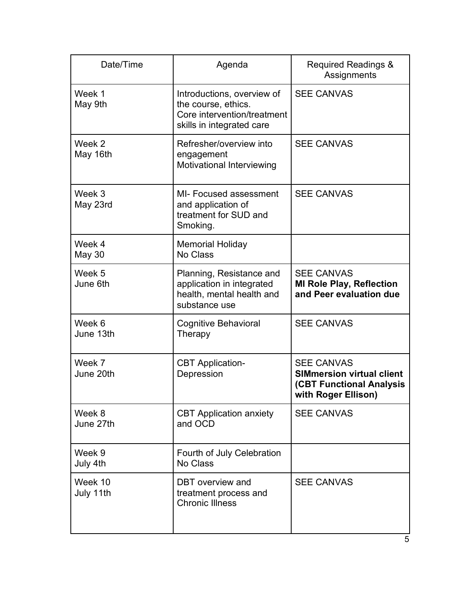| Date/Time               | Agenda                                                                                                        | <b>Required Readings &amp;</b><br>Assignments                                                                   |  |
|-------------------------|---------------------------------------------------------------------------------------------------------------|-----------------------------------------------------------------------------------------------------------------|--|
| Week 1<br>May 9th       | Introductions, overview of<br>the course, ethics.<br>Core intervention/treatment<br>skills in integrated care | <b>SEE CANVAS</b>                                                                                               |  |
| Week 2<br>May 16th      | Refresher/overview into<br>engagement<br>Motivational Interviewing                                            | <b>SEE CANVAS</b>                                                                                               |  |
| Week 3<br>May 23rd      | MI- Focused assessment<br>and application of<br>treatment for SUD and<br>Smoking.                             | <b>SEE CANVAS</b>                                                                                               |  |
| Week 4<br><b>May 30</b> | <b>Memorial Holiday</b><br>No Class                                                                           |                                                                                                                 |  |
| Week 5<br>June 6th      | Planning, Resistance and<br>application in integrated<br>health, mental health and<br>substance use           | <b>SEE CANVAS</b><br><b>MI Role Play, Reflection</b><br>and Peer evaluation due                                 |  |
| Week 6<br>June 13th     | <b>Cognitive Behavioral</b><br>Therapy                                                                        | <b>SEE CANVAS</b>                                                                                               |  |
| Week 7<br>June 20th     | <b>CBT</b> Application-<br>Depression                                                                         | <b>SEE CANVAS</b><br><b>SIMmersion virtual client</b><br><b>(CBT Functional Analysis</b><br>with Roger Ellison) |  |
| Week 8<br>June 27th     | <b>CBT Application anxiety</b><br>and OCD                                                                     | <b>SEE CANVAS</b>                                                                                               |  |
| Week 9<br>July 4th      | Fourth of July Celebration<br>No Class                                                                        |                                                                                                                 |  |
| Week 10<br>July 11th    | DBT overview and<br>treatment process and<br><b>Chronic Illness</b>                                           | <b>SEE CANVAS</b>                                                                                               |  |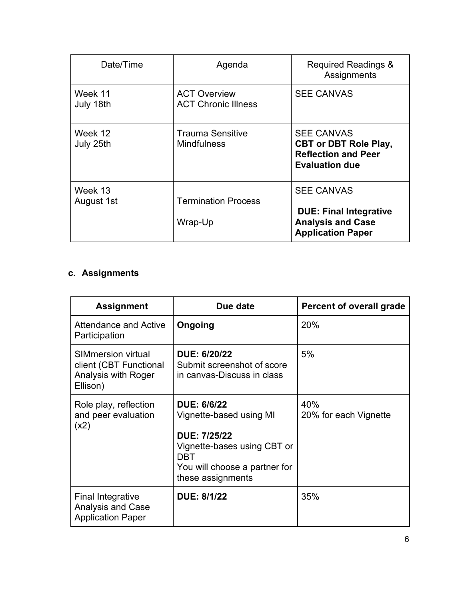| Date/Time             | Agenda                                            | <b>Required Readings &amp;</b><br>Assignments                                                              |
|-----------------------|---------------------------------------------------|------------------------------------------------------------------------------------------------------------|
| Week 11<br>July 18th  | <b>ACT Overview</b><br><b>ACT Chronic Illness</b> | <b>SEE CANVAS</b>                                                                                          |
| Week 12<br>July 25th  | <b>Trauma Sensitive</b><br><b>Mindfulness</b>     | <b>SEE CANVAS</b><br><b>CBT or DBT Role Play,</b><br><b>Reflection and Peer</b><br><b>Evaluation due</b>   |
| Week 13<br>August 1st | <b>Termination Process</b><br>Wrap-Up             | <b>SEE CANVAS</b><br><b>DUE: Final Integrative</b><br><b>Analysis and Case</b><br><b>Application Paper</b> |

# **c. Assignments**

| <b>Assignment</b>                                                                      | Due date                                                                                                                                                                | <b>Percent of overall grade</b> |
|----------------------------------------------------------------------------------------|-------------------------------------------------------------------------------------------------------------------------------------------------------------------------|---------------------------------|
| Attendance and Active<br>Participation                                                 | Ongoing                                                                                                                                                                 | 20%                             |
| <b>SIMmersion virtual</b><br>client (CBT Functional<br>Analysis with Roger<br>Ellison) | <b>DUE: 6/20/22</b><br>Submit screenshot of score<br>in canvas-Discuss in class                                                                                         | 5%                              |
| Role play, reflection<br>and peer evaluation<br>(x2)                                   | <b>DUE: 6/6/22</b><br>Vignette-based using MI<br><b>DUE: 7/25/22</b><br>Vignette-bases using CBT or<br><b>DBT</b><br>You will choose a partner for<br>these assignments | 40%<br>20% for each Vignette    |
| <b>Final Integrative</b><br><b>Analysis and Case</b><br><b>Application Paper</b>       | <b>DUE: 8/1/22</b>                                                                                                                                                      | 35%                             |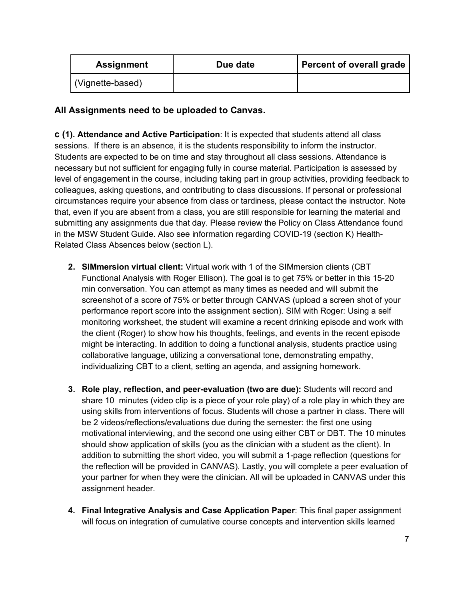| <b>Assignment</b> | Due date | Percent of overall grade |
|-------------------|----------|--------------------------|
| (Vignette-based)  |          |                          |

## **All Assignments need to be uploaded to Canvas.**

**c (1). Attendance and Active Participation**: It is expected that students attend all class sessions. If there is an absence, it is the students responsibility to inform the instructor. Students are expected to be on time and stay throughout all class sessions. Attendance is necessary but not sufficient for engaging fully in course material. Participation is assessed by level of engagement in the course, including taking part in group activities, providing feedback to colleagues, asking questions, and contributing to class discussions. If personal or professional circumstances require your absence from class or tardiness, please contact the instructor. Note that, even if you are absent from a class, you are still responsible for learning the material and submitting any assignments due that day. Please review the Policy on Class Attendance found in the MSW Student Guide. Also see information regarding COVID-19 (section K) Health-Related Class Absences below (section L).

- **2. SIMmersion virtual client:** Virtual work with 1 of the SIMmersion clients (CBT Functional Analysis with Roger Ellison). The goal is to get 75% or better in this 15-20 min conversation. You can attempt as many times as needed and will submit the screenshot of a score of 75% or better through CANVAS (upload a screen shot of your performance report score into the assignment section). SIM with Roger: Using a self monitoring worksheet, the student will examine a recent drinking episode and work with the client (Roger) to show how his thoughts, feelings, and events in the recent episode might be interacting. In addition to doing a functional analysis, students practice using collaborative language, utilizing a conversational tone, demonstrating empathy, individualizing CBT to a client, setting an agenda, and assigning homework.
- **3. Role play, reflection, and peer-evaluation (two are due):** Students will record and share 10 minutes (video clip is a piece of your role play) of a role play in which they are using skills from interventions of focus. Students will chose a partner in class. There will be 2 videos/reflections/evaluations due during the semester: the first one using motivational interviewing, and the second one using either CBT or DBT. The 10 minutes should show application of skills (you as the clinician with a student as the client). In addition to submitting the short video, you will submit a 1-page reflection (questions for the reflection will be provided in CANVAS). Lastly, you will complete a peer evaluation of your partner for when they were the clinician. All will be uploaded in CANVAS under this assignment header.
- **4. Final Integrative Analysis and Case Application Paper**: This final paper assignment will focus on integration of cumulative course concepts and intervention skills learned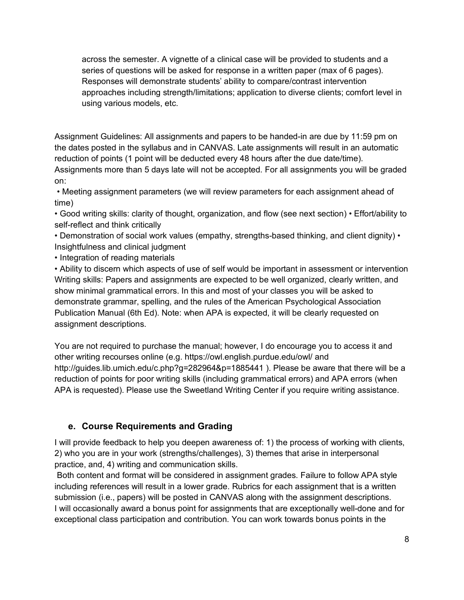across the semester. A vignette of a clinical case will be provided to students and a series of questions will be asked for response in a written paper (max of 6 pages). Responses will demonstrate students' ability to compare/contrast intervention approaches including strength/limitations; application to diverse clients; comfort level in using various models, etc.

Assignment Guidelines: All assignments and papers to be handed-in are due by 11:59 pm on the dates posted in the syllabus and in CANVAS. Late assignments will result in an automatic reduction of points (1 point will be deducted every 48 hours after the due date/time). Assignments more than 5 days late will not be accepted. For all assignments you will be graded

on: • Meeting assignment parameters (we will review parameters for each assignment ahead of

time)

• Good writing skills: clarity of thought, organization, and flow (see next section) • Effort/ability to self-reflect and think critically

• Demonstration of social work values (empathy, strengths-based thinking, and client dignity) • Insightfulness and clinical judgment

• Integration of reading materials

• Ability to discern which aspects of use of self would be important in assessment or intervention Writing skills: Papers and assignments are expected to be well organized, clearly written, and show minimal grammatical errors. In this and most of your classes you will be asked to demonstrate grammar, spelling, and the rules of the American Psychological Association Publication Manual (6th Ed). Note: when APA is expected, it will be clearly requested on assignment descriptions.

You are not required to purchase the manual; however, I do encourage you to access it and other writing recourses online (e.g. https://owl.english.purdue.edu/owl/ and http://guides.lib.umich.edu/c.php?g=282964&p=1885441 ). Please be aware that there will be a reduction of points for poor writing skills (including grammatical errors) and APA errors (when APA is requested). Please use the Sweetland Writing Center if you require writing assistance.

## **e. Course Requirements and Grading**

I will provide feedback to help you deepen awareness of: 1) the process of working with clients, 2) who you are in your work (strengths/challenges), 3) themes that arise in interpersonal practice, and, 4) writing and communication skills.

Both content and format will be considered in assignment grades. Failure to follow APA style including references will result in a lower grade. Rubrics for each assignment that is a written submission (i.e., papers) will be posted in CANVAS along with the assignment descriptions. I will occasionally award a bonus point for assignments that are exceptionally well-done and for exceptional class participation and contribution. You can work towards bonus points in the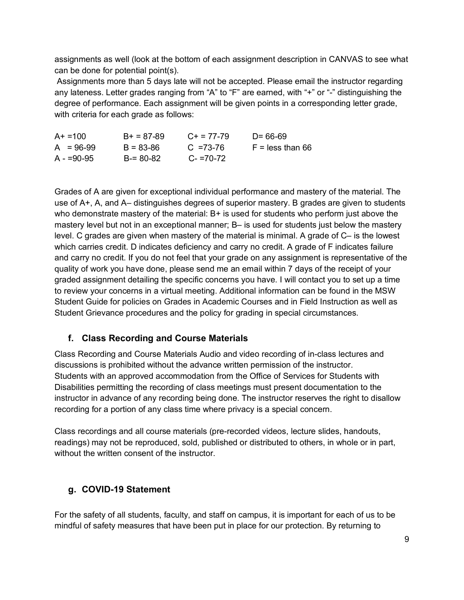assignments as well (look at the bottom of each assignment description in CANVAS to see what can be done for potential point(s).

Assignments more than 5 days late will not be accepted. Please email the instructor regarding any lateness. Letter grades ranging from "A" to "F" are earned, with "+" or "-" distinguishing the degree of performance. Each assignment will be given points in a corresponding letter grade, with criteria for each grade as follows:

| $A+ = 100$  | $B+ = 87-89$  | $C_{\pm} = 77 - 79$ | $D = 66-69$        |
|-------------|---------------|---------------------|--------------------|
| $A = 96-99$ | $B = 83 - 86$ | $C = 73-76$         | $F =$ less than 66 |
| $A = 90-95$ | $B = 80 - 82$ | $C = 70-72$         |                    |

Grades of A are given for exceptional individual performance and mastery of the material. The use of A+, A, and A– distinguishes degrees of superior mastery. B grades are given to students who demonstrate mastery of the material: B+ is used for students who perform just above the mastery level but not in an exceptional manner; B– is used for students just below the mastery level. C grades are given when mastery of the material is minimal. A grade of C– is the lowest which carries credit. D indicates deficiency and carry no credit. A grade of F indicates failure and carry no credit. If you do not feel that your grade on any assignment is representative of the quality of work you have done, please send me an email within 7 days of the receipt of your graded assignment detailing the specific concerns you have. I will contact you to set up a time to review your concerns in a virtual meeting. Additional information can be found in the MSW Student Guide for policies on Grades in Academic Courses and in Field Instruction as well as Student Grievance procedures and the policy for grading in special circumstances.

## **f. Class Recording and Course Materials**

Class Recording and Course Materials Audio and video recording of in-class lectures and discussions is prohibited without the advance written permission of the instructor. Students with an approved accommodation from the Office of Services for Students with Disabilities permitting the recording of class meetings must present documentation to the instructor in advance of any recording being done. The instructor reserves the right to disallow recording for a portion of any class time where privacy is a special concern.

Class recordings and all course materials (pre-recorded videos, lecture slides, handouts, readings) may not be reproduced, sold, published or distributed to others, in whole or in part, without the written consent of the instructor.

## **g. COVID-19 Statement**

For the safety of all students, faculty, and staff on campus, it is important for each of us to be mindful of safety measures that have been put in place for our protection. By returning to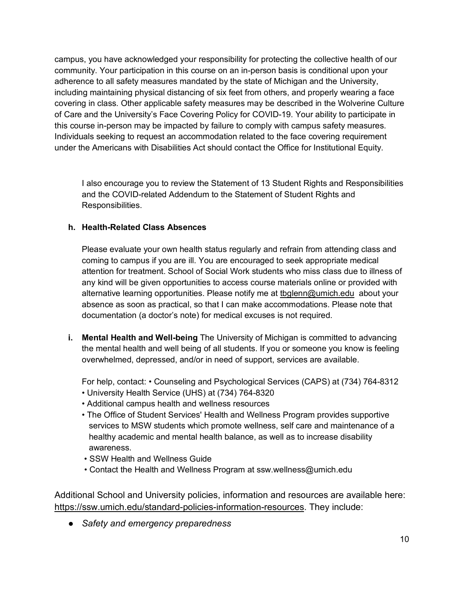campus, you have acknowledged your responsibility for protecting the collective health of our community. Your participation in this course on an in-person basis is conditional upon your adherence to all safety measures mandated by the state of Michigan and the University, including maintaining physical distancing of six feet from others, and properly wearing a face covering in class. Other applicable safety measures may be described in the Wolverine Culture of Care and the University's Face Covering Policy for COVID-19. Your ability to participate in this course in-person may be impacted by failure to comply with campus safety measures. Individuals seeking to request an accommodation related to the face covering requirement under the Americans with Disabilities Act should contact the Office for Institutional Equity.

I also encourage you to review the Statement of 13 Student Rights and Responsibilities and the COVID-related Addendum to the Statement of Student Rights and Responsibilities.

#### **h. Health-Related Class Absences**

Please evaluate your own health status regularly and refrain from attending class and coming to campus if you are ill. You are encouraged to seek appropriate medical attention for treatment. School of Social Work students who miss class due to illness of any kind will be given opportunities to access course materials online or provided with alternative learning opportunities. Please notify me at [tbglenn@umich.edu](mailto:tbglenn@umich.edu) about your absence as soon as practical, so that I can make accommodations. Please note that documentation (a doctor's note) for medical excuses is not required.

**i. Mental Health and Well-being** The University of Michigan is committed to advancing the mental health and well being of all students. If you or someone you know is feeling overwhelmed, depressed, and/or in need of support, services are available.

For help, contact: • Counseling and Psychological Services (CAPS) at (734) 764-8312

- University Health Service (UHS) at (734) 764-8320
- Additional campus health and wellness resources
- The Office of Student Services' Health and Wellness Program provides supportive services to MSW students which promote wellness, self care and maintenance of a healthy academic and mental health balance, as well as to increase disability awareness.
- SSW Health and Wellness Guide
- Contact the Health and Wellness Program at ssw.wellness@umich.edu

Additional School and University policies, information and resources are available here: [https://ssw.umich.edu/standard-policies-information-resources.](https://ssw.umich.edu/standard-policies-information-resources) They include:

● *Safety and emergency preparedness*